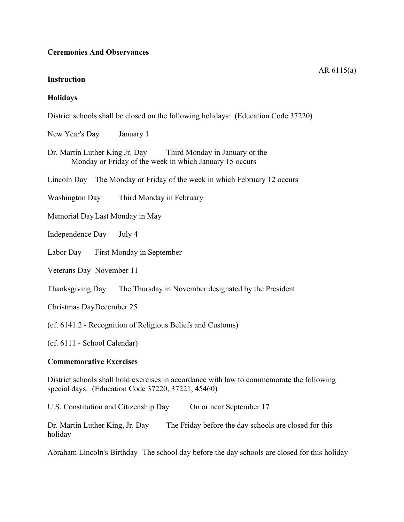#### **Ceremonies And Observances**

#### **Instruction**

# **Holidays**

District schools shall be closed on the following holidays: (Education Code 37220)

New Year's Day January 1

Dr. Martin Luther King Jr. Day Third Monday in January or the Monday or Friday of the week in which January 15 occurs

Lincoln Day The Monday or Friday of the week in which February 12 occurs

Washington Day Third Monday in February

Memorial DayLast Monday in May

Independence Day July 4

Labor Day First Monday in September

Veterans Day November 11

Thanksgiving Day The Thursday in November designated by the President

Christmas DayDecember 25

(cf. 6141.2 - Recognition of Religious Beliefs and Customs)

(cf. 6111 - School Calendar)

## **Commemorative Exercises**

District schools shall hold exercises in accordance with law to commemorate the following special days: (Education Code 37220, 37221, 45460)

U.S. Constitution and Citizenship Day On or near September 17

Dr. Martin Luther King, Jr. Day The Friday before the day schools are closed for this holiday

Abraham Lincoln's Birthday The school day before the day schools are closed for this holiday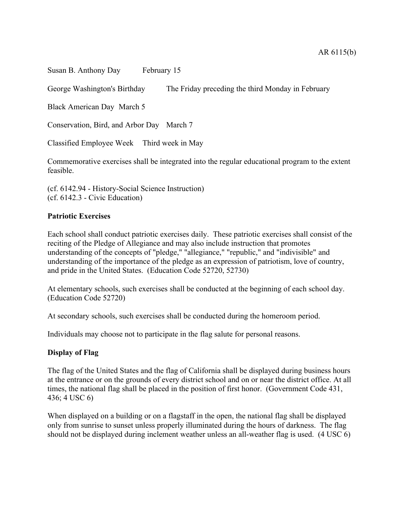Susan B. Anthony Day February 15

George Washington's Birthday The Friday preceding the third Monday in February

Black American Day March 5

Conservation, Bird, and Arbor Day March 7

Classified Employee Week Third week in May

Commemorative exercises shall be integrated into the regular educational program to the extent feasible.

(cf. 6142.94 - History-Social Science Instruction) (cf. 6142.3 - Civic Education)

#### **Patriotic Exercises**

Each school shall conduct patriotic exercises daily. These patriotic exercises shall consist of the reciting of the Pledge of Allegiance and may also include instruction that promotes understanding of the concepts of "pledge," "allegiance," "republic," and "indivisible" and understanding of the importance of the pledge as an expression of patriotism, love of country, and pride in the United States. (Education Code 52720, 52730)

At elementary schools, such exercises shall be conducted at the beginning of each school day. (Education Code 52720)

At secondary schools, such exercises shall be conducted during the homeroom period.

Individuals may choose not to participate in the flag salute for personal reasons.

## **Display of Flag**

The flag of the United States and the flag of California shall be displayed during business hours at the entrance or on the grounds of every district school and on or near the district office. At all times, the national flag shall be placed in the position of first honor. (Government Code 431, 436; 4 USC 6)

When displayed on a building or on a flagstaff in the open, the national flag shall be displayed only from sunrise to sunset unless properly illuminated during the hours of darkness. The flag should not be displayed during inclement weather unless an all-weather flag is used. (4 USC 6)